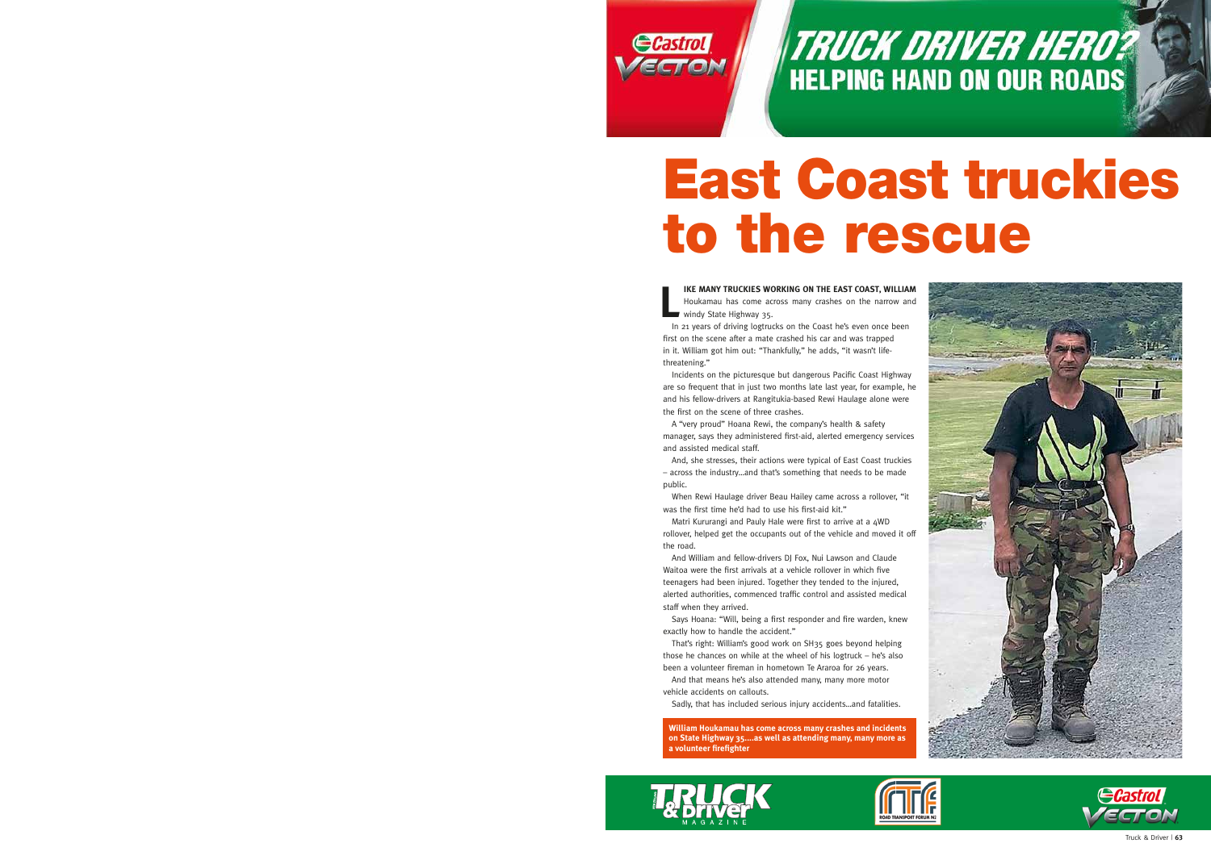

TRUCK DRIVER HERO? **HELPING HAND ON OUR ROADS** 

## East Coast truckies to the rescue

**L IKE MANY TRUCKIES WORKING ON THE EAST COAST, WILLIAM**  Houkamau has come across many crashes on the narrow and windy State Highway 35.

In 21 years of driving logtrucks on the Coast he's even once been first on the scene after a mate crashed his car and was trapped in it. William got him out: "Thankfully," he adds, "it wasn't lifethreatening."

Incidents on the picturesque but dangerous Pacific Coast Highway are so frequent that in just two months late last year, for example, he and his fellow-drivers at Rangitukia-based Rewi Haulage alone were the first on the scene of three crashes.

A "very proud" Hoana Rewi, the company's health & safety manager, says they administered first-aid, alerted emergency services and assisted medical staff.

And, she stresses, their actions were typical of East Coast truckies – across the industry…and that's something that needs to be made public.

When Rewi Haulage driver Beau Hailey came across a rollover, "it was the first time he'd had to use his first-aid kit."

Matri Kururangi and Pauly Hale were first to arrive at a 4WD rollover, helped get the occupants out of the vehicle and moved it off the road.

And William and fellow-drivers DJ Fox, Nui Lawson and Claude Waitoa were the first arrivals at a vehicle rollover in which five teenagers had been injured. Together they tended to the injured, alerted authorities, commenced traffic control and assisted medical staff when they arrived.

Says Hoana: "Will, being a first responder and fire warden, knew exactly how to handle the accident."

That's right: William's good work on SH35 goes beyond helping those he chances on while at the wheel of his logtruck – he's also been a volunteer fireman in hometown Te Araroa for 26 years.

And that means he's also attended many, many more motor vehicle accidents on callouts.

Sadly, that has included serious injury accidents…and fatalities.

**William Houkamau has come across many crashes and incidents on State Highway 35....as well as attending many, many more as a volunteer firefighter**